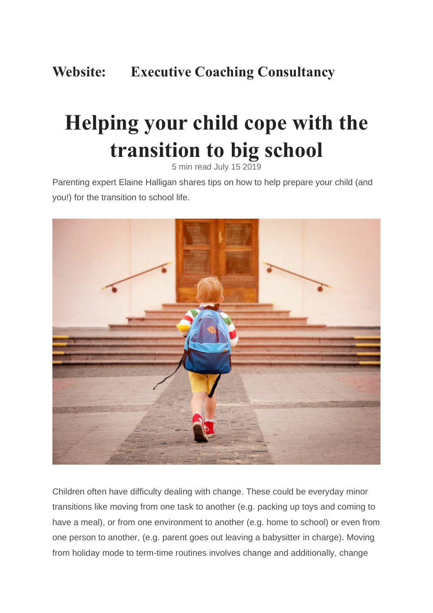# **Website: Executive Coaching Consultancy**

# **Helping your child cope with the transition to big school**

5 min read July 15 2019

Parenting expert Elaine Halligan shares tips on how to help prepare your child (and you!) for the transition to school life.



Children often have difficulty dealing with change. These could be everyday minor transitions like moving from one task to another (e.g. packing up toys and coming to have a meal), or from one environment to another (e.g. home to school) or even from one person to another, (e.g. parent goes out leaving a babysitter in charge). Moving from holiday mode to term-time routines involves change and additionally, change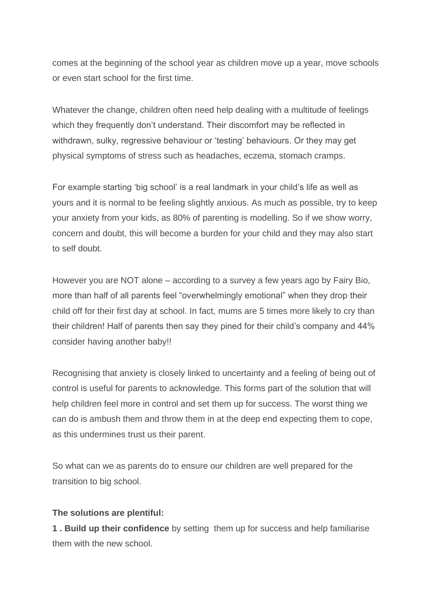comes at the beginning of the school year as children move up a year, move schools or even start school for the first time.

Whatever the change, children often need help dealing with a multitude of feelings which they frequently don't understand. Their discomfort may be reflected in withdrawn, sulky, regressive behaviour or 'testing' behaviours. Or they may get physical symptoms of stress such as headaches, eczema, stomach cramps.

For example starting 'big school' is a real landmark in your child's life as well as yours and it is normal to be feeling slightly anxious. As much as possible, try to keep your anxiety from your kids, as 80% of parenting is modelling. So if we show worry, concern and doubt, this will become a burden for your child and they may also start to self doubt.

However you are NOT alone – according to a survey a few years ago by Fairy Bio, more than half of all parents feel "overwhelmingly emotional" when they drop their child off for their first day at school. In fact, mums are 5 times more likely to cry than their children! Half of parents then say they pined for their child's company and 44% consider having another baby!!

Recognising that anxiety is closely linked to uncertainty and a feeling of being out of control is useful for parents to acknowledge. This forms part of the solution that will help children feel more in control and set them up for success. The worst thing we can do is ambush them and throw them in at the deep end expecting them to cope, as this undermines trust us their parent.

So what can we as parents do to ensure our children are well prepared for the transition to big school.

#### **The solutions are plentiful:**

**1 . Build up their confidence** by setting them up for success and help familiarise them with the new school.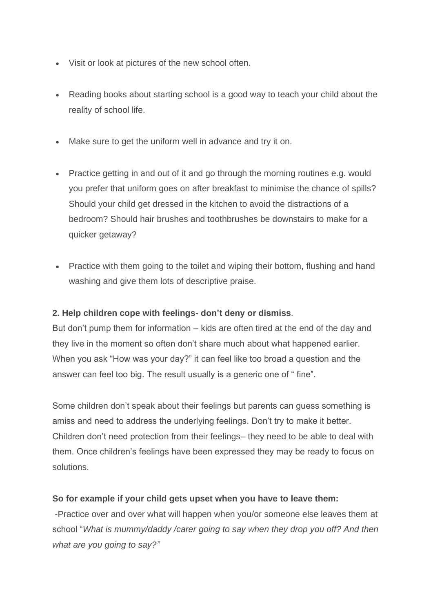- Visit or look at pictures of the new school often.
- Reading books about starting school is a good way to teach your child about the reality of school life.
- Make sure to get the uniform well in advance and try it on.
- Practice getting in and out of it and go through the morning routines e.g. would you prefer that uniform goes on after breakfast to minimise the chance of spills? Should your child get dressed in the kitchen to avoid the distractions of a bedroom? Should hair brushes and toothbrushes be downstairs to make for a quicker getaway?
- Practice with them going to the toilet and wiping their bottom, flushing and hand washing and give them lots of descriptive praise.

## **2. Help children cope with feelings- don't deny or dismiss**.

But don't pump them for information – kids are often tired at the end of the day and they live in the moment so often don't share much about what happened earlier. When you ask "How was your day?" it can feel like too broad a question and the answer can feel too big. The result usually is a generic one of " fine".

Some children don't speak about their feelings but parents can guess something is amiss and need to address the underlying feelings. Don't try to make it better. Children don't need protection from their feelings– they need to be able to deal with them. Once children's feelings have been expressed they may be ready to focus on solutions.

## **So for example if your child gets upset when you have to leave them:**

-Practice over and over what will happen when you/or someone else leaves them at school "*What is mummy/daddy /carer going to say when they drop you off? And then what are you going to say?"*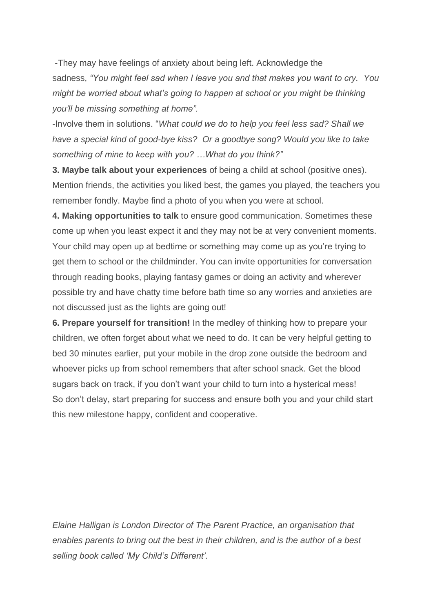-They may have feelings of anxiety about being left. Acknowledge the sadness, *"You might feel sad when I leave you and that makes you want to cry. You might be worried about what's going to happen at school or you might be thinking you'll be missing something at home".*

-Involve them in solutions. "*What could we do to help you feel less sad? Shall we have a special kind of good-bye kiss? Or a goodbye song? Would you like to take something of mine to keep with you? …What do you think?"*

**3. Maybe talk about your experiences** of being a child at school (positive ones). Mention friends, the activities you liked best, the games you played, the teachers you remember fondly. Maybe find a photo of you when you were at school.

**4. Making opportunities to talk** to ensure good communication. Sometimes these come up when you least expect it and they may not be at very convenient moments. Your child may open up at bedtime or something may come up as you're trying to get them to school or the childminder. You can invite opportunities for conversation through reading books, playing fantasy games or doing an activity and wherever possible try and have chatty time before bath time so any worries and anxieties are not discussed just as the lights are going out!

**6. Prepare yourself for transition!** In the medley of thinking how to prepare your children, we often forget about what we need to do. It can be very helpful getting to bed 30 minutes earlier, put your mobile in the drop zone outside the bedroom and whoever picks up from school remembers that after school snack. Get the blood sugars back on track, if you don't want your child to turn into a hysterical mess! So don't delay, start preparing for success and ensure both you and your child start this new milestone happy, confident and cooperative.

*Elaine Halligan is London Director of The Parent Practice, an organisation that enables parents to bring out the best in their children, and is the author of a best selling book called 'My Child's Different'.*